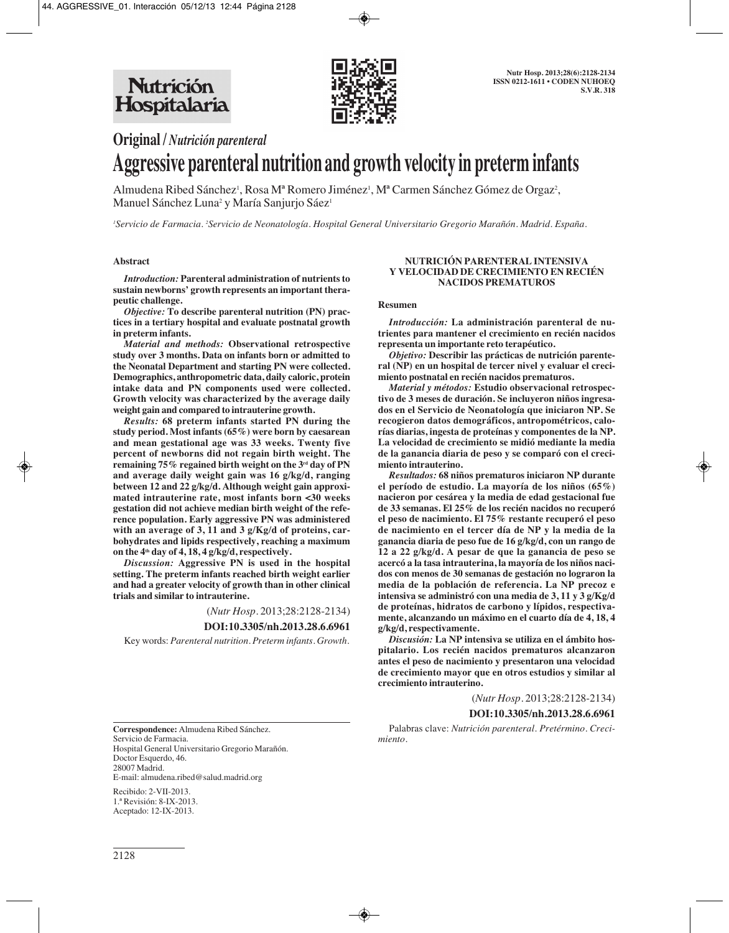

**Original /** *Nutrición parenteral*

# **Aggressive parenteral nutrition and growth velocity in preterm infants**

Almudena Ribed Sánchez', Rosa Mª Romero Jiménez', Mª Carmen Sánchez Gómez de Orgaz<sup>2</sup>, Manuel Sánchez Luna<sup>2</sup> y María Sanjurjo Sáez<sup>1</sup>

*1 Servicio de Farmacia. 2 Servicio de Neonatología. Hospital General Universitario Gregorio Marañón. Madrid. España.*

## **Abstract**

*Introduction:* **Parenteral administration of nutrients to sustain newborns' growth represents an important therapeutic challenge.**

*Objective:* **To describe parenteral nutrition (PN) practices in a tertiary hospital and evaluate postnatal growth in preterm infants.**

*Material and methods:* **Observational retrospective study over 3 months. Data on infants born or admitted to the Neonatal Department and starting PN were collected. Demographics, anthropometric data, daily caloric, protein intake data and PN components used were collected. Growth velocity was characterized by the average daily weight gain and compared to intrauterine growth.**

*Results:* **68 preterm infants started PN during the study period. Most infants (65%) were born by caesarean and mean gestational age was 33 weeks. Twenty five percent of newborns did not regain birth weight. The remaining 75% regained birth weight on the 3rd day of PN and average daily weight gain was 16 g/kg/d, ranging between 12 and 22 g/kg/d. Although weight gain approximated intrauterine rate, most infants born <30 weeks gestation did not achieve median birth weight of the reference population. Early aggressive PN was administered with an average of 3, 11 and 3 g/Kg/d of proteins, car bohydrates and lipids respectively, reaching a maximum on the 4th day of 4, 18, 4 g/kg/d, respectively.**

*Discussion:* **Aggressive PN is used in the hospital setting. The preterm infants reached birth weight earlier and had a greater velocity of growth than in other clinical trials and similar to intrauterine.**

(*Nutr Hosp.* 2013;28:2128-2134)

# **DOI:10.3305/nh.2013.28.6.6961**

Key words: *Parenteral nutrition. Preterm infants. Growth.*

**Correspondence:** Almudena Ribed Sánchez. Servicio de Farmacia. Hospital General Universitario Gregorio Marañón. Doctor Esquerdo, 46. 28007 Madrid. E-mail: almudena.ribed@salud.madrid.org

Recibido: 2-VII-2013. 1.ª Revisión: 8-IX-2013. Aceptado: 12-IX-2013.

#### **NUTRICIÓN PARENTERAL INTENSIVA Y VELOCIDAD DE CRECIMIENTO EN RECIÉN NACIDOS PREMATUROS**

#### **Resumen**

*Introducción:* La administración parenteral de nu**trientes para mantener el crecimiento en recién nacidos representa un importante reto terapéutico.**

*Objetivo:* **Describir las prácticas de nutrición parenteral (NP) en un hospital de tercer nivel y evaluar el crecimiento postnatal en recién nacidos prematuros.** 

*Material y métodos:* **Estudio observacional retrospectivo de 3 meses de duración. Se incluyeron niños ingresados en el Servicio de Neonatología que iniciaron NP. Se recogieron datos demográficos, antropométricos, calorías diarias, ingesta de proteínas y componentes de la NP. La velocidad de crecimiento se midió mediante la media de la ganancia diaria de peso y se comparó con el crecimiento intrauterino.**

*Resultados:* **68 niños prematuros iniciaron NP durante el período de estudio. La mayoría de los niños (65%) nacieron por cesárea y la media de edad gestacional fue de 33 semanas. El 25% de los recién nacidos no recuperó el peso de nacimiento. El 75% restante recuperó el peso de nacimiento en el tercer día de NP y la media de la ganancia diaria de peso fue de 16 g/kg/d, con un rango de 12 a 22 g/kg/d. A pesar de que la ganancia de peso se acercó a la tasa intrauterina, la mayoría de los niños nacidos con menos de 30 semanas de gestación no lograron la media de la población de referencia. La NP precoz e intensiva se administró con una media de 3, 11 y 3 g/Kg/d de proteínas, hidratos de carbono y lípidos, respectivamente, alcanzando un máximo en el cuarto día de 4, 18, 4 g/kg/d, respectivamente.**

*Discusión:* **La NP intensiva se utiliza en el ámbito hospitalario. Los recién nacidos prematuros alcanzaron antes el peso de nacimiento y presentaron una velocidad de crecimiento mayor que en otros estudios y similar al crecimiento intrauterino.**

(*Nutr Hosp.* 2013;28:2128-2134)

#### **DOI:10.3305/nh.2013.28.6.6961**

Palabras clave: *Nutrición parenteral. Pretérmino. Crecimiento.*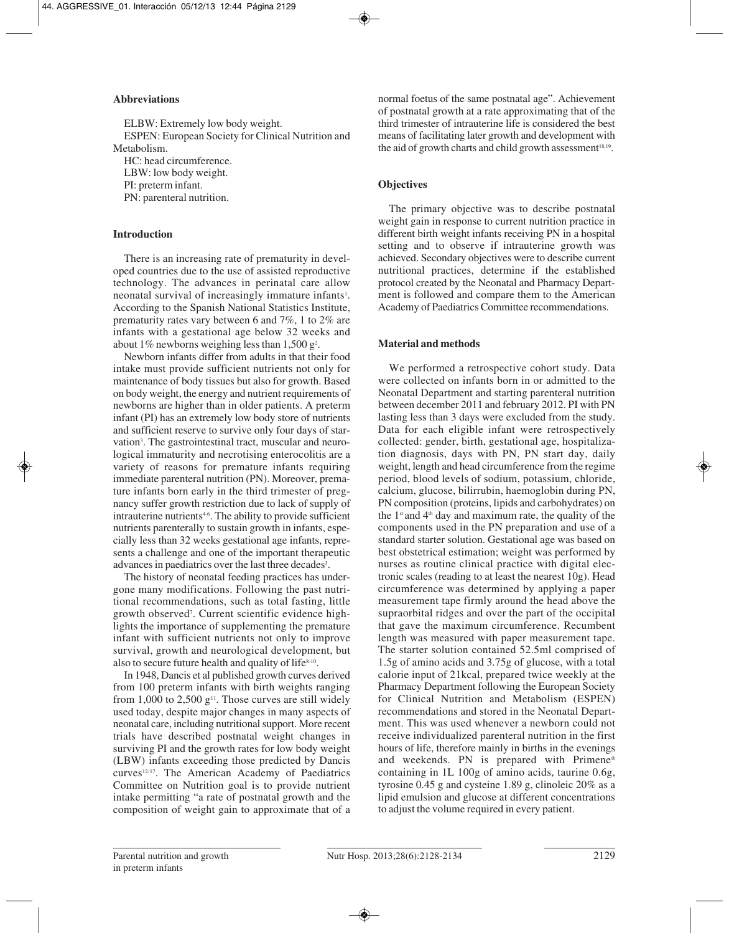## **Abbreviations**

ELBW: Extremely low body weight. ESPEN: European Society for Clinical Nutrition and Metabolism. HC: head circumference. LBW: low body weight.

PI: preterm infant.

PN: parenteral nutrition.

## **Introduction**

There is an increasing rate of prematurity in developed countries due to the use of assisted reproductive technology. The advances in perinatal care allow neonatal survival of increasingly immature infants<sup>1</sup>. According to the Spanish National Statistics Institute, prematurity rates vary between 6 and 7%, 1 to 2% are infants with a gestational age below 32 weeks and about 1% newborns weighing less than  $1,500$  g<sup>2</sup>.

Newborn infants differ from adults in that their food intake must provide sufficient nutrients not only for maintenance of body tissues but also for growth. Based on body weight, the energy and nutrient requirements of newborns are higher than in older patients. A preterm infant (PI) has an extremely low body store of nutrients and sufficient reserve to survive only four days of starvation<sup>3</sup>. The gastrointestinal tract, muscular and neurological immaturity and necrotising enterocolitis are a variety of reasons for premature infants requiring immediate parenteral nutrition (PN). Moreover, premature infants born early in the third trimester of pregnancy suffer growth restriction due to lack of supply of intrauterine nutrients<sup>46</sup>. The ability to provide sufficient nutrients parenterally to sustain growth in infants, especially less than 32 weeks gestational age infants, represents a challenge and one of the important therapeutic advances in paediatrics over the last three decades<sup>3</sup>.

The history of neonatal feeding practices has undergone many modifications. Following the past nutritional recommendations, such as total fasting, little growth observed7 . Current scientific evidence highlights the importance of supplementing the premature infant with sufficient nutrients not only to improve survival, growth and neurological development, but also to secure future health and quality of life<sup>8-10</sup>.

In 1948, Dancis et al published growth curves derived from 100 preterm infants with birth weights ranging from 1,000 to 2,500  $g<sup>11</sup>$ . Those curves are still widely used today, despite major changes in many aspects of neonatal care, including nutritional support. More recent trials have described postnatal weight changes in surviving PI and the growth rates for low body weight (LBW) infants exceeding those predicted by Dancis curves<sup>12-17</sup>. The American Academy of Paediatrics Committee on Nutrition goal is to provide nutrient intake permitting "a rate of postnatal growth and the composition of weight gain to approximate that of a

normal foetus of the same postnatal age". Achievement of postnatal growth at a rate approximating that of the third trimester of intrauterine life is considered the best means of facilitating later growth and development with the aid of growth charts and child growth assessment<sup>18,19</sup>.

# **Objectives**

The primary objective was to describe postnatal weight gain in response to current nutrition practice in different birth weight infants receiving PN in a hospital setting and to observe if intrauterine growth was achieved. Secondary objectives were to describe current nutritional practices, determine if the established protocol created by the Neonatal and Pharmacy Department is followed and compare them to the American Academy of Paediatrics Committee recommendations.

# **Material and methods**

We performed a retrospective cohort study. Data were collected on infants born in or admitted to the Neonatal Department and starting parenteral nutrition between december 2011 and february 2012. PI with PN lasting less than 3 days were excluded from the study. Data for each eligible infant were retrospectively collected: gender, birth, gestational age, hospitalization diagnosis, days with PN, PN start day, daily weight, length and head circumference from the regime period, blood levels of sodium, potassium, chloride, calcium, glucose, bilirrubin, haemoglobin during PN, PN composition (proteins, lipids and carbohydrates) on the  $1$ <sup>st</sup> and  $4$ <sup>th</sup> day and maximum rate, the quality of the components used in the PN preparation and use of a standard starter solution. Gestational age was based on best obstetrical estimation; weight was performed by nurses as routine clinical practice with digital electronic scales (reading to at least the nearest 10g). Head circumference was determined by applying a paper measurement tape firmly around the head above the supraorbital ridges and over the part of the occipital that gave the maximum circumference. Recumbent length was measured with paper measurement tape. The starter solution contained 52.5ml comprised of 1.5g of amino acids and 3.75g of glucose, with a total calorie input of 21kcal, prepared twice weekly at the Pharmacy Department following the European Society for Clinical Nutrition and Metabolism (ESPEN) recommendations and stored in the Neonatal Department. This was used whenever a newborn could not receive individualized parenteral nutrition in the first hours of life, therefore mainly in births in the evenings and weekends. PN is prepared with Primene® containing in 1L 100g of amino acids, taurine 0.6g, tyrosine 0.45 g and cysteine 1.89 g, clinoleic 20% as a lipid emulsion and glucose at different concentrations to adjust the volume required in every patient.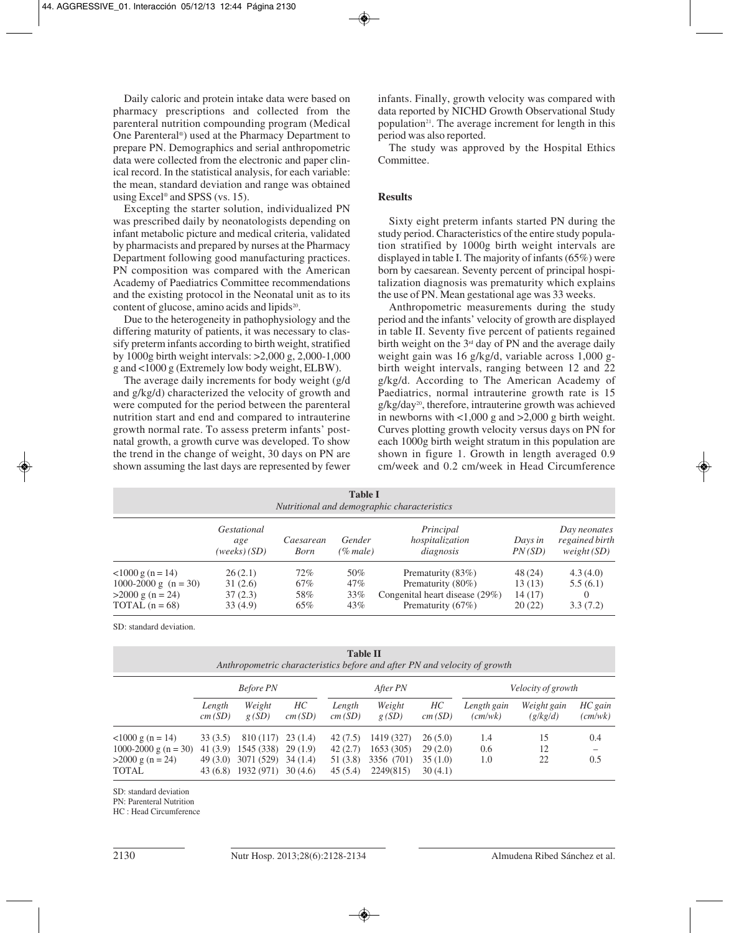Daily caloric and protein intake data were based on pharmacy prescriptions and collected from the parenteral nutrition compounding program (Medical One Parenteral®) used at the Pharmacy Department to prepare PN. Demographics and serial anthropometric data were collected from the electronic and paper clinical record. In the statistical analysis, for each variable: the mean, standard deviation and range was obtained using Excel® and SPSS (vs. 15).

Excepting the starter solution, individualized PN was prescribed daily by neonatologists depending on infant metabolic picture and medical criteria, validated by pharmacists and prepared by nurses at the Pharmacy Department following good manufacturing practices. PN composition was compared with the American Academy of Paediatrics Committee recommendations and the existing protocol in the Neonatal unit as to its content of glucose, amino acids and lipids<sup>20</sup>.

Due to the heterogeneity in pathophysiology and the differing maturity of patients, it was necessary to classify preterm infants according to birth weight, stratified by 1000g birth weight intervals: >2,000 g, 2,000-1,000 g and <1000 g (Extremely low body weight, ELBW).

The average daily increments for body weight (g/d and g/kg/d) characterized the velocity of growth and were computed for the period between the parenteral nutrition start and end and compared to intrauterine growth normal rate. To assess preterm infants' postnatal growth, a growth curve was developed. To show the trend in the change of weight, 30 days on PN are shown assuming the last days are represented by fewer infants. Finally, growth velocity was compared with data reported by NICHD Growth Observational Study population<sup>21</sup>. The average increment for length in this period was also reported.

The study was approved by the Hospital Ethics Committee.

## **Results**

Sixty eight preterm infants started PN during the study period. Characteristics of the entire study population stratified by 1000g birth weight intervals are displayed in table I. The majority of infants (65%) were born by caesarean. Seventy percent of principal hospitalization diagnosis was prematurity which explains the use of PN. Mean gestational age was 33 weeks.

Anthropometric measurements during the study period and the infants' velocity of growth are displayed in table II. Seventy five percent of patients regained birth weight on the  $3<sup>rd</sup>$  day of PN and the average daily weight gain was 16 g/kg/d, variable across 1,000 gbirth weight intervals, ranging between 12 and 22 g/kg/d. According to The American Academy of Paediatrics, normal intrauterine growth rate is 15  $g/kg/day<sup>20</sup>$ , therefore, intrauterine growth was achieved in newborns with  $\langle 1,000 \rangle$  g and  $\langle 2,000 \rangle$  g birth weight. Curves plotting growth velocity versus days on PN for each 1000g birth weight stratum in this population are shown in figure 1. Growth in length averaged 0.9 cm/week and 0.2 cm/week in Head Circumference

| <b>Table I</b><br>Nutritional and demographic characteristics                                   |                                            |                          |                             |                                                                                               |                                        |                                              |  |  |
|-------------------------------------------------------------------------------------------------|--------------------------------------------|--------------------------|-----------------------------|-----------------------------------------------------------------------------------------------|----------------------------------------|----------------------------------------------|--|--|
|                                                                                                 | <i>Gestational</i><br>age<br>(weeks) (SD)  | Caesarean<br><b>Born</b> | Gender<br>(% male)          | Principal<br>hospitalization<br>diagnosis                                                     | Days in<br>PN(SD)                      | Day neonates<br>regained birth<br>weight(SD) |  |  |
| $<$ 1000 g (n = 14)<br>1000-2000 g $(n = 30)$<br>$>2000 \text{ g}$ (n = 24)<br>TOTAL $(n = 68)$ | 26(2.1)<br>31(2.6)<br>37 (2.3)<br>33 (4.9) | 72%<br>67%<br>58%<br>65% | 50%<br>$47\%$<br>33%<br>43% | Prematurity (83%)<br>Prematurity (80%)<br>Congenital heart disease (29%)<br>Prematurity (67%) | 48 (24)<br>13 (13)<br>14(17)<br>20(22) | 4.3(4.0)<br>5.5(6.1)<br>$\Omega$<br>3.3(7.2) |  |  |

SD: standard deviation.

**Table II**

| Anthropometric characteristics before and after PN and velocity of growth |                      |                          |                    |                     |                         |                    |                        |                         |                    |  |
|---------------------------------------------------------------------------|----------------------|--------------------------|--------------------|---------------------|-------------------------|--------------------|------------------------|-------------------------|--------------------|--|
|                                                                           | <b>Before PN</b>     |                          |                    |                     | After PN                |                    |                        | Velocity of growth      |                    |  |
|                                                                           | Length<br>cm(SD)     | Weight<br>g(SD)          | HС<br>cm(SD)       | Length<br>cm(SD)    | Weight<br>g(SD)         | HС<br>cm(SD)       | Length gain<br>(cm/wk) | Weight gain<br>(g/kg/d) | HC gain<br>(cm/wk) |  |
| $1000 g (n = 14)$                                                         | 33(3.5)              | 810 (117)                | 23(1.4)            | 42 (7.5)            | 1419 (327)              | 26(5.0)            | 1.4                    | 15                      | 0.4                |  |
| 1000-2000 g (n = 30)                                                      | 41 (3.9)             | 1545 (338)               | 29(1.9)            | 42(2.7)             | 1653(305)               | 29(2.0)            | 0.6                    | 12                      |                    |  |
| $>2000 \text{ g}$ (n = 24)<br><b>TOTAL</b>                                | 49 (3.0)<br>43 (6.8) | 3071 (529)<br>1932 (971) | 34(1.4)<br>30(4.6) | 51 (3.8)<br>45(5.4) | 3356 (701)<br>2249(815) | 35(1.0)<br>30(4.1) | 1.0                    | 22                      | 0.5                |  |

SD: standard deviation

PN: Parenteral Nutrition

HC : Head Circumference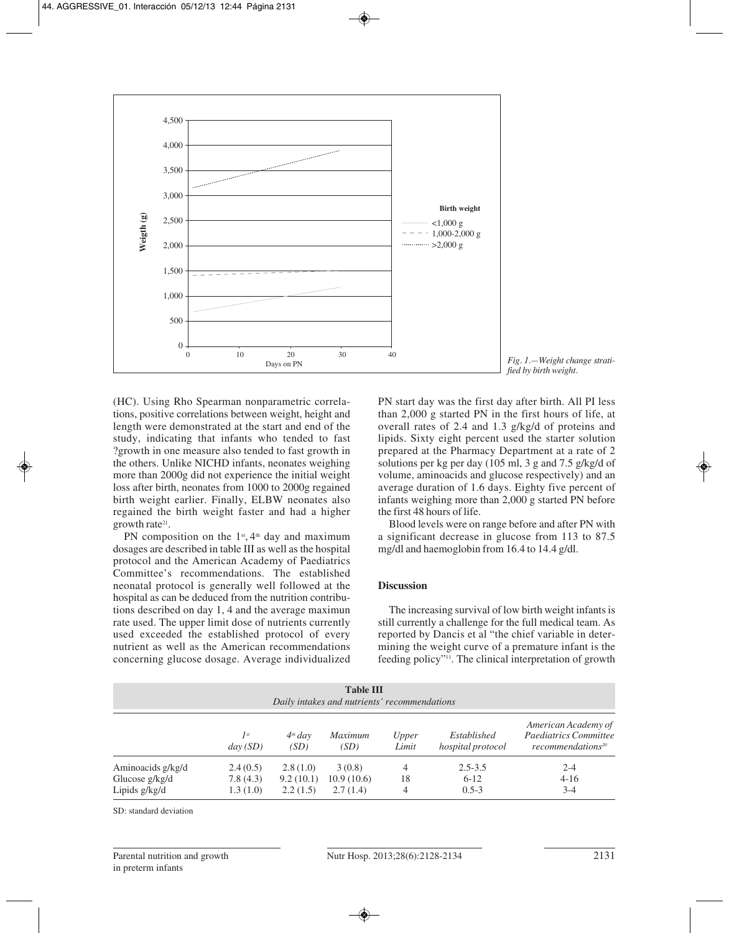

(HC). Using Rho Spearman nonparametric correlations, positive correlations between weight, height and length were demonstrated at the start and end of the study, indicating that infants who tended to fast ?growth in one measure also tended to fast growth in the others. Unlike NICHD infants, neonates weighing more than 2000g did not experience the initial weight loss after birth, neonates from 1000 to 2000g regained birth weight earlier. Finally, ELBW neonates also regained the birth weight faster and had a higher growth rate<sup>21</sup>.

PN composition on the  $1<sup>st</sup>$ ,  $4<sup>th</sup>$  day and maximum dosages are described in table III as well as the hospital protocol and the American Academy of Paediatrics Committee's recommendations. The established neonatal protocol is generally well followed at the hospital as can be deduced from the nutrition contributions described on day 1, 4 and the average maximun rate used. The upper limit dose of nutrients currently used exceeded the established protocol of every nutrient as well as the American recommendations concerning glucose dosage. Average individualized PN start day was the first day after birth. All PI less than 2,000 g started PN in the first hours of life, at overall rates of 2.4 and 1.3 g/kg/d of proteins and lipids. Sixty eight percent used the starter solution prepared at the Pharmacy Department at a rate of 2 solutions per kg per day (105 ml, 3 g and 7.5 g/kg/d of volume, aminoacids and glucose respectively) and an average duration of 1.6 days. Eighty five percent of infants weighing more than 2,000 g started PN before the first 48 hours of life.

Blood levels were on range before and after PN with a significant decrease in glucose from 113 to 87.5 mg/dl and haemoglobin from 16.4 to 14.4 g/dl.

# **Discussion**

The increasing survival of low birth weight infants is still currently a challenge for the full medical team. As reported by Dancis et al "the chief variable in determining the weight curve of a premature infant is the feeding policy"11. The clinical interpretation of growth

| <b>Table III</b><br>Daily intakes and nutrients' recommendations |                                  |                                   |                                  |                |                                    |                                                                                      |  |
|------------------------------------------------------------------|----------------------------------|-----------------------------------|----------------------------------|----------------|------------------------------------|--------------------------------------------------------------------------------------|--|
|                                                                  | $I^{st}$<br>day(SD)              | $4th$ day<br>(SD)                 | <i>Maximum</i><br>(SD)           | Upper<br>Limit | Established<br>hospital protocol   | American Academy of<br><b>Paediatrics Committee</b><br>recommendations <sup>20</sup> |  |
| Aminoacids g/kg/d<br>Glucose $g/kg/d$<br>Lipids $g/kg/d$         | 2.4(0.5)<br>7.8(4.3)<br>1.3(1.0) | 2.8(1.0)<br>9.2(10.1)<br>2.2(1.5) | 3(0.8)<br>10.9(10.6)<br>2.7(1.4) | 4<br>18        | $2.5 - 3.5$<br>$6-12$<br>$0.5 - 3$ | $2 - 4$<br>$4 - 16$<br>$3-4$                                                         |  |

SD: standard deviation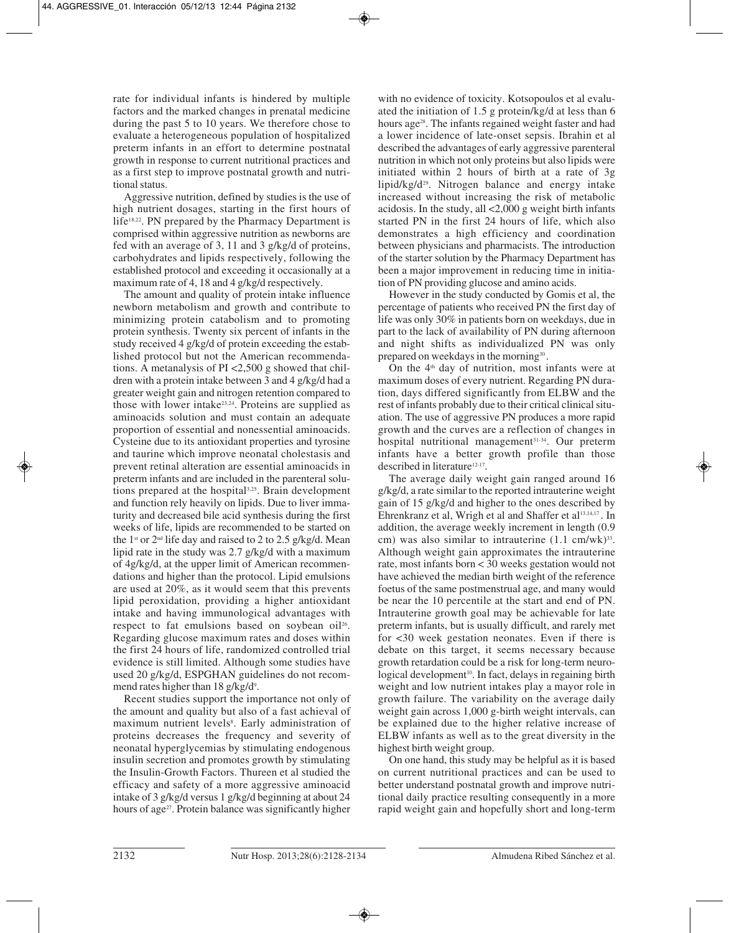rate for individual infants is hindered by multiple factors and the marked changes in prenatal medicine during the past 5 to 10 years. We therefore chose to evaluate a heterogeneous population of hospitalized preterm infants in an effort to determine postnatal growth in response to current nutritional practices and as a first step to improve postnatal growth and nutritional status.

Aggressive nutrition, defined by studies is the use of high nutrient dosages, starting in the first hours of life<sup>18,22</sup>. PN prepared by the Pharmacy Department is comprised within aggressive nutrition as newborns are fed with an average of 3, 11 and 3 g/kg/d of proteins, carbohydrates and lipids respectively, following the established protocol and exceeding it occasionally at a maximum rate of 4, 18 and 4 g/kg/d respectively.

The amount and quality of protein intake influence newborn metabolism and growth and contribute to minimizing protein catabolism and to promoting protein synthesis. Twenty six percent of infants in the study received 4 g/kg/d of protein exceeding the established protocol but not the American recommendations. A metanalysis of PI <2,500 g showed that children with a protein intake between 3 and 4 g/kg/d had a greater weight gain and nitrogen retention compared to those with lower intake<sup>23,24</sup>. Proteins are supplied as aminoacids solution and must contain an adequate proportion of essential and nonessential aminoacids. Cysteine due to its antioxidant properties and tyrosine and taurine which improve neonatal cholestasis and prevent retinal alteration are essential aminoacids in preterm infants and are included in the parenteral solutions prepared at the hospital<sup>3,25</sup>. Brain development and function rely heavily on lipids. Due to liver immaturity and decreased bile acid synthesis during the first weeks of life, lipids are recommended to be started on the 1<sup>st</sup> or  $2<sup>nd</sup>$  life day and raised to 2 to 2.5 g/kg/d. Mean lipid rate in the study was 2.7 g/kg/d with a maximum of 4g/kg/d, at the upper limit of American recommendations and higher than the protocol. Lipid emulsions are used at 20%, as it would seem that this prevents lipid peroxidation, providing a higher antioxidant intake and having immunological advantages with respect to fat emulsions based on soybean oil<sup>26</sup>. Regarding glucose maximum rates and doses within the first 24 hours of life, randomized controlled trial evidence is still limited. Although some studies have used 20 g/kg/d, ESPGHAN guidelines do not recommend rates higher than  $18 \frac{\text{g}}{\text{kg}}\text{d}^9$ .

Recent studies support the importance not only of the amount and quality but also of a fast achieval of maximum nutrient levels<sup>8</sup>. Early administration of proteins decreases the frequency and severity of neonatal hyperglycemias by stimulating endogenous insulin secretion and promotes growth by stimulating the Insulin-Growth Factors. Thureen et al studied the efficacy and safety of a more aggressive aminoacid intake of 3 g/kg/d versus 1 g/kg/d beginning at about 24 hours of age<sup>27</sup>. Protein balance was significantly higher

with no evidence of toxicity. Kotsopoulos et al evaluated the initiation of 1.5 g protein/kg/d at less than 6 hours age<sup>28</sup>. The infants regained weight faster and had a lower incidence of late-onset sepsis. Ibrahin et al described the advantages of early aggressive parenteral nutrition in which not only proteins but also lipids were initiated within 2 hours of birth at a rate of 3g lipid/kg/d<sup>29</sup>. Nitrogen balance and energy intake increased without increasing the risk of metabolic acidosis. In the study, all <2,000 g weight birth infants started PN in the first 24 hours of life, which also demonstrates a high efficiency and coordination between physicians and pharmacists. The introduction of the starter solution by the Pharmacy Department has been a major improvement in reducing time in initiation of PN providing glucose and amino acids.

However in the study conducted by Gomis et al, the percentage of patients who received PN the first day of life was only 30% in patients born on weekdays, due in part to the lack of availability of PN during afternoon and night shifts as individualized PN was only prepared on weekdays in the morning<sup>30</sup>.

On the  $4<sup>th</sup>$  day of nutrition, most infants were at maximum doses of every nutrient. Regarding PN duration, days differed significantly from ELBW and the rest of infants probably due to their critical clinical situation. The use of aggressive PN produces a more rapid growth and the curves are a reflection of changes in hospital nutritional management<sup>31-34</sup>. Our preterm infants have a better growth profile than those described in literature<sup>12-17</sup>.

The average daily weight gain ranged around 16 g/kg/d, a rate similar to the reported intrauterine weight gain of 15 g/kg/d and higher to the ones described by Ehrenkranz et al, Wrigh et al and Shaffer et al<sup>13,14,17</sup>. In addition, the average weekly increment in length (0.9 cm) was also similar to intrauterine  $(1.1 \text{ cm/wk})^{33}$ . Although weight gain approximates the intrauterine rate, most infants born < 30 weeks gestation would not have achieved the median birth weight of the reference foetus of the same postmenstrual age, and many would be near the 10 percentile at the start and end of PN. Intrauterine growth goal may be achievable for late preterm infants, but is usually difficult, and rarely met for <30 week gestation neonates. Even if there is debate on this target, it seems necessary because growth retardation could be a risk for long-term neurological development<sup>10</sup>. In fact, delays in regaining birth weight and low nutrient intakes play a mayor role in growth failure. The variability on the average daily weight gain across 1,000 g-birth weight intervals, can be explained due to the higher relative increase of ELBW infants as well as to the great diversity in the highest birth weight group.

On one hand, this study may be helpful as it is based on current nutritional practices and can be used to better understand postnatal growth and improve nutritional daily practice resulting consequently in a more rapid weight gain and hopefully short and long-term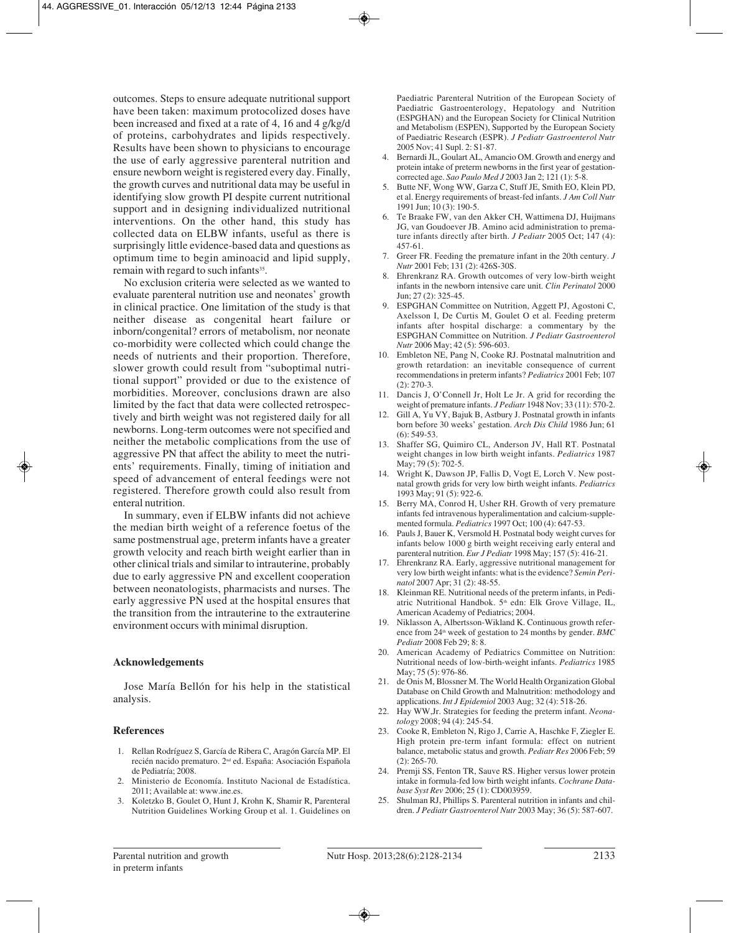outcomes. Steps to ensure adequate nutritional support have been taken: maximum protocolized doses have been increased and fixed at a rate of 4, 16 and 4 g/kg/d of proteins, carbohydrates and lipids respectively. Results have been shown to physicians to encourage the use of early aggressive parenteral nutrition and ensure newborn weight is registered every day. Finally, the growth curves and nutritional data may be useful in identifying slow growth PI despite current nutritional support and in designing individualized nutritional interventions. On the other hand, this study has collected data on ELBW infants, useful as there is surprisingly little evidence-based data and questions as optimum time to begin aminoacid and lipid supply, remain with regard to such infants<sup>35</sup>.

No exclusion criteria were selected as we wanted to evaluate parenteral nutrition use and neonates' growth in clinical practice. One limitation of the study is that neither disease as congenital heart failure or inborn/congenital? errors of metabolism, nor neonate co-morbidity were collected which could change the needs of nutrients and their proportion. Therefore, slower growth could result from "suboptimal nutritional support" provided or due to the existence of morbidities. Moreover, conclusions drawn are also limited by the fact that data were collected retrospectively and birth weight was not registered daily for all newborns. Long-term outcomes were not specified and neither the metabolic complications from the use of aggressive PN that affect the ability to meet the nutrients' requirements. Finally, timing of initiation and speed of advancement of enteral feedings were not registered. Therefore growth could also result from enteral nutrition.

In summary, even if ELBW infants did not achieve the median birth weight of a reference foetus of the same postmenstrual age, preterm infants have a greater growth velocity and reach birth weight earlier than in other clinical trials and similar to intrauterine, probably due to early aggressive PN and excellent cooperation between neonatologists, pharmacists and nurses. The early aggressive PN used at the hospital ensures that the transition from the intrauterine to the extrauterine environment occurs with minimal disruption.

#### **Acknowledgements**

Jose María Bellón for his help in the statistical analysis.

# **References**

- 1. Rellan Rodríguez S, García de Ribera C, Aragón García MP. El recién nacido prematuro. 2nd ed. España: Asociación Española de Pediatría; 2008.
- 2. Ministerio de Economía. Instituto Nacional de Estadística. 2011; Available at: www.ine.es.
- 3. Koletzko B, Goulet O, Hunt J, Krohn K, Shamir R, Parenteral Nutrition Guidelines Working Group et al. 1. Guidelines on

Paediatric Parenteral Nutrition of the European Society of Paediatric Gastroenterology, Hepatology and Nutrition (ESPGHAN) and the European Society for Clinical Nutrition and Metabolism (ESPEN), Supported by the European Society of Paediatric Research (ESPR). *J Pediatr Gastroenterol Nutr* 2005 Nov; 41 Supl. 2: S1-87.

- 4. Bernardi JL, Goulart AL, Amancio OM. Growth and energy and protein intake of preterm newborns in the first year of gestationcorrected age. *Sao Paulo Med J* 2003 Jan 2; 121 (1): 5-8.
- 5. Butte NF, Wong WW, Garza C, Stuff JE, Smith EO, Klein PD, et al. Energy requirements of breast-fed infants. *J Am Coll Nutr* 1991 Jun; 10 (3): 190-5.
- 6. Te Braake FW, van den Akker CH, Wattimena DJ, Huijmans JG, van Goudoever JB. Amino acid administration to premature infants directly after birth. *J Pediatr* 2005 Oct; 147 (4): 457-61.
- 7. Greer FR. Feeding the premature infant in the 20th century. *J Nutr* 2001 Feb; 131 (2): 426S-30S.
- Ehrenkranz RA. Growth outcomes of very low-birth weight infants in the newborn intensive care unit. *Clin Perinatol* 2000 Jun; 27 (2): 325-45.
- 9. ESPGHAN Committee on Nutrition, Aggett PJ, Agostoni C, Axelsson I, De Curtis M, Goulet O et al. Feeding preterm infants after hospital discharge: a commentary by the ESPGHAN Committee on Nutrition. *J Pediatr Gastroenterol Nutr* 2006 May; 42 (5): 596-603.
- 10. Embleton NE, Pang N, Cooke RJ. Postnatal malnutrition and growth retardation: an inevitable consequence of current recommendations in preterm infants? *Pediatrics* 2001 Feb; 107 (2): 270-3.
- 11. Dancis J, O'Connell Jr, Holt Le Jr. A grid for recording the weight of premature infants. *J Pediatr* 1948 Nov; 33 (11): 570-2.
- 12. Gill A, Yu VY, Bajuk B, Astbury J. Postnatal growth in infants born before 30 weeks' gestation. *Arch Dis Child* 1986 Jun; 61 (6): 549-53.
- 13. Shaffer SG, Quimiro CL, Anderson JV, Hall RT. Postnatal weight changes in low birth weight infants. *Pediatrics* 1987 May; 79 (5): 702-5.
- 14. Wright K, Dawson JP, Fallis D, Vogt E, Lorch V. New postnatal growth grids for very low birth weight infants. *Pediatrics* 1993 May; 91 (5): 922-6.
- 15. Berry MA, Conrod H, Usher RH. Growth of very premature infants fed intravenous hyperalimentation and calcium-supplemented formula. *Pediatrics* 1997 Oct; 100 (4): 647-53.
- 16. Pauls J, Bauer K, Versmold H. Postnatal body weight curves for infants below 1000 g birth weight receiving early enteral and parenteral nutrition. *Eur J Pediatr* 1998 May; 157 (5): 416-21.
- 17. Ehrenkranz RA. Early, aggressive nutritional management for very low birth weight infants: what is the evidence? *Semin Perinatol* 2007 Apr; 31 (2): 48-55.
- 18. Kleinman RE. Nutritional needs of the preterm infants, in Pediatric Nutritional Handbok. 5<sup>th</sup> edn: Elk Grove Village, IL, American Academy of Pediatrics; 2004.
- 19. Niklasson A, Albertsson-Wikland K. Continuous growth reference from 24th week of gestation to 24 months by gender. *BMC Pediatr* 2008 Feb 29; 8: 8.
- 20. American Academy of Pediatrics Committee on Nutrition: Nutritional needs of low-birth-weight infants. *Pediatrics* 1985 May: 75 (5): 976-86.
- 21. de Onis M, Blossner M. The World Health Organization Global Database on Child Growth and Malnutrition: methodology and applications. *Int J Epidemiol* 2003 Aug; 32 (4): 518-26.
- 22. Hay WW,Jr. Strategies for feeding the preterm infant. *Neonatology* 2008; 94 (4): 245-54.
- 23. Cooke R, Embleton N, Rigo J, Carrie A, Haschke F, Ziegler E. High protein pre-term infant formula: effect on nutrient balance, metabolic status and growth. *Pediatr Res* 2006 Feb; 59 (2): 265-70.
- 24. Premji SS, Fenton TR, Sauve RS. Higher versus lower protein intake in formula-fed low birth weight infants. *Cochrane Database Syst Rev* 2006; 25 (1): CD003959.
- 25. Shulman RJ, Phillips S. Parenteral nutrition in infants and children. *J Pediatr Gastroenterol Nutr* 2003 May; 36 (5): 587-607.